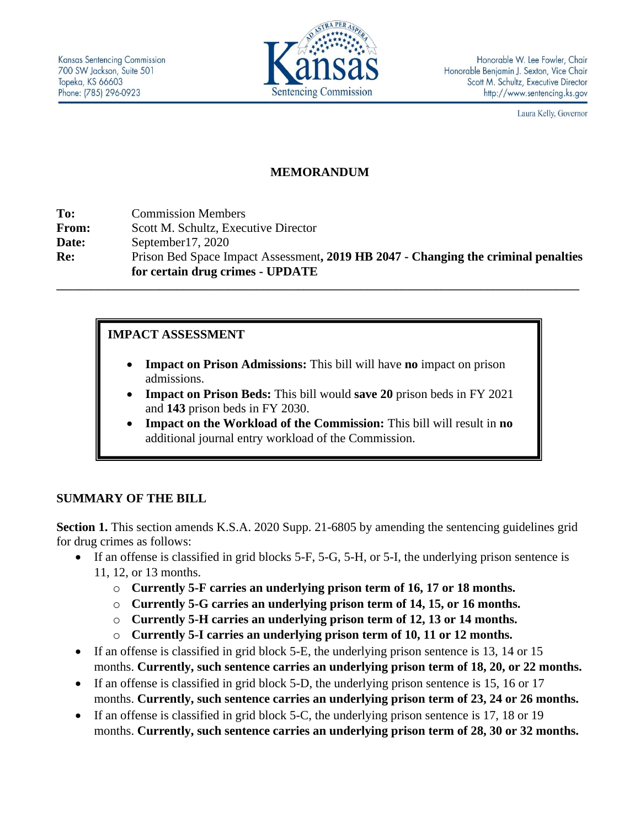

Laura Kelly, Governor

## **MEMORANDUM**

| To:   | <b>Commission Members</b>                                                                                              |
|-------|------------------------------------------------------------------------------------------------------------------------|
| From: | Scott M. Schultz, Executive Director                                                                                   |
| Date: | September $17, 2020$                                                                                                   |
| Re:   | Prison Bed Space Impact Assessment, 2019 HB 2047 - Changing the criminal penalties<br>for certain drug crimes - UPDATE |
|       |                                                                                                                        |

### **IMPACT ASSESSMENT**

- **Impact on Prison Admissions:** This bill will have **no** impact on prison admissions.
- **Impact on Prison Beds:** This bill would **save 20** prison beds in FY 2021 and **143** prison beds in FY 2030.
- **Impact on the Workload of the Commission:** This bill will result in **no** additional journal entry workload of the Commission.

### **SUMMARY OF THE BILL**

**Section 1.** This section amends K.S.A. 2020 Supp. 21-6805 by amending the sentencing guidelines grid for drug crimes as follows:

- If an offense is classified in grid blocks 5-F, 5-G, 5-H, or 5-I, the underlying prison sentence is 11, 12, or 13 months.
	- o **Currently 5-F carries an underlying prison term of 16, 17 or 18 months.**
	- o **Currently 5-G carries an underlying prison term of 14, 15, or 16 months.**
	- o **Currently 5-H carries an underlying prison term of 12, 13 or 14 months.**
	- o **Currently 5-I carries an underlying prison term of 10, 11 or 12 months.**
- If an offense is classified in grid block 5-E, the underlying prison sentence is 13, 14 or 15 months. **Currently, such sentence carries an underlying prison term of 18, 20, or 22 months.**
- If an offense is classified in grid block 5-D, the underlying prison sentence is 15, 16 or 17 months. **Currently, such sentence carries an underlying prison term of 23, 24 or 26 months.**
- If an offense is classified in grid block 5-C, the underlying prison sentence is 17, 18 or 19 months. **Currently, such sentence carries an underlying prison term of 28, 30 or 32 months.**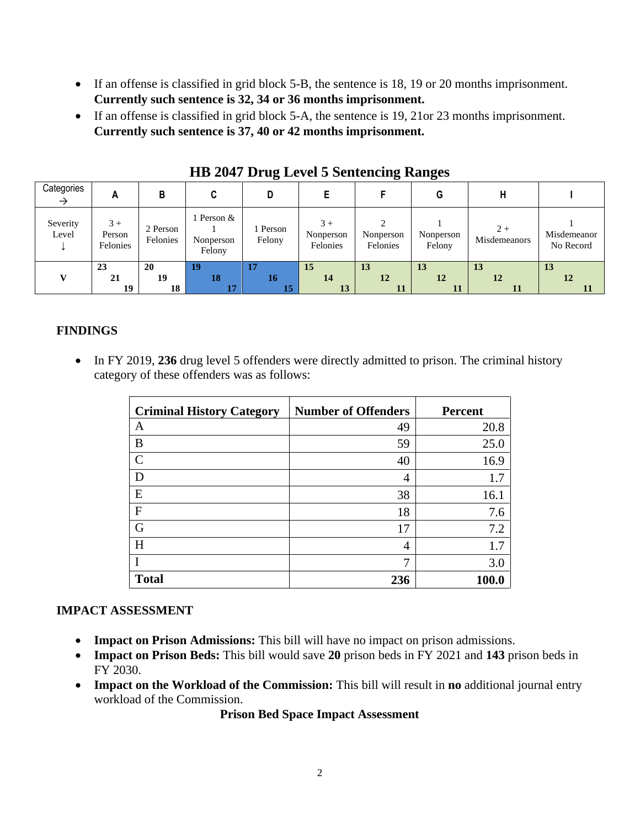- If an offense is classified in grid block 5-B, the sentence is 18, 19 or 20 months imprisonment. **Currently such sentence is 32, 34 or 36 months imprisonment.**
- If an offense is classified in grid block 5-A, the sentence is 19, 21or 23 months imprisonment. **Currently such sentence is 37, 40 or 42 months imprisonment.**

| Categories        | А                          | В                    |                                 |                    |                               |                       | G                   |                       |                          |
|-------------------|----------------------------|----------------------|---------------------------------|--------------------|-------------------------------|-----------------------|---------------------|-----------------------|--------------------------|
| Severity<br>Level | $3+$<br>Person<br>Felonies | 2 Person<br>Felonies | Person &<br>Nonperson<br>Felony | 1 Person<br>Felony | $3+$<br>Nonperson<br>Felonies | Nonperson<br>Felonies | Nonperson<br>Felony | $2 +$<br>Misdemeanors | Misdemeanor<br>No Record |
|                   | 23                         | 20                   | 19                              | 17                 | 15                            | 13                    | <b>13</b>           | 13                    | 13                       |
|                   | 21                         | 19                   | 18                              | 16                 | 14                            | 12                    | 12                  | 12                    | 12                       |
|                   | 19                         | 18                   | 17                              |                    | 13                            |                       | 11                  |                       |                          |

**HB 2047 Drug Level 5 Sentencing Ranges**

# **FINDINGS**

• In FY 2019, 236 drug level 5 offenders were directly admitted to prison. The criminal history category of these offenders was as follows:

| <b>Criminal History Category</b> | <b>Number of Offenders</b> | <b>Percent</b> |
|----------------------------------|----------------------------|----------------|
| A                                | 49                         | 20.8           |
| B                                | 59                         | 25.0           |
| $\mathsf{C}$                     | 40                         | 16.9           |
| D                                | 4                          | 1.7            |
| E                                | 38                         | 16.1           |
| $\mathbf{F}$                     | 18                         | 7.6            |
| G                                | 17                         | 7.2            |
| H                                | 4                          | 1.7            |
|                                  | 7                          | 3.0            |
| <b>Total</b>                     | 236                        | 100.0          |

### **IMPACT ASSESSMENT**

- **Impact on Prison Admissions:** This bill will have no impact on prison admissions.
- **Impact on Prison Beds:** This bill would save **20** prison beds in FY 2021 and **143** prison beds in FY 2030.
- **Impact on the Workload of the Commission:** This bill will result in **no** additional journal entry workload of the Commission.

#### **Prison Bed Space Impact Assessment**